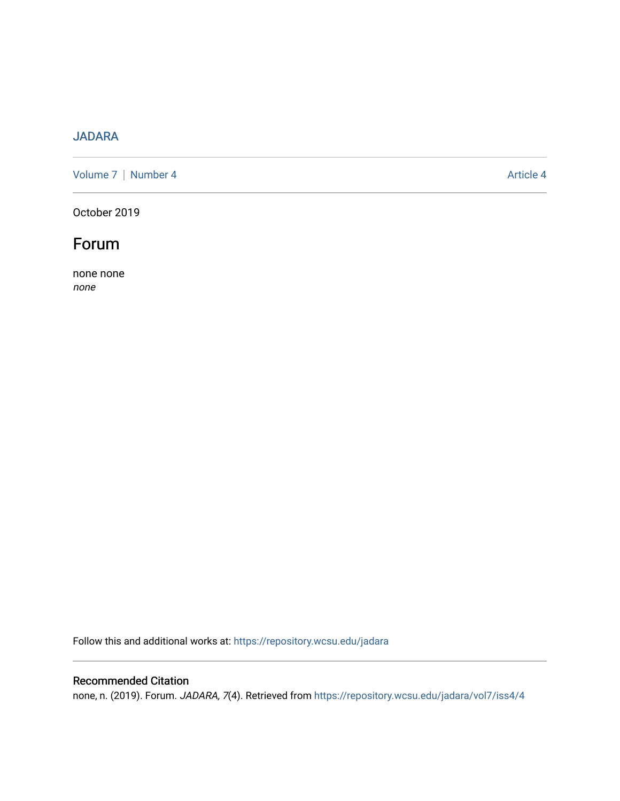# [JADARA](https://repository.wcsu.edu/jadara)

[Volume 7](https://repository.wcsu.edu/jadara/vol7) | [Number 4](https://repository.wcsu.edu/jadara/vol7/iss4) Article 4

October 2019



none none none

Follow this and additional works at: [https://repository.wcsu.edu/jadara](https://repository.wcsu.edu/jadara?utm_source=repository.wcsu.edu%2Fjadara%2Fvol7%2Fiss4%2F4&utm_medium=PDF&utm_campaign=PDFCoverPages)

## Recommended Citation

none, n. (2019). Forum. JADARA, 7(4). Retrieved from [https://repository.wcsu.edu/jadara/vol7/iss4/4](https://repository.wcsu.edu/jadara/vol7/iss4/4?utm_source=repository.wcsu.edu%2Fjadara%2Fvol7%2Fiss4%2F4&utm_medium=PDF&utm_campaign=PDFCoverPages)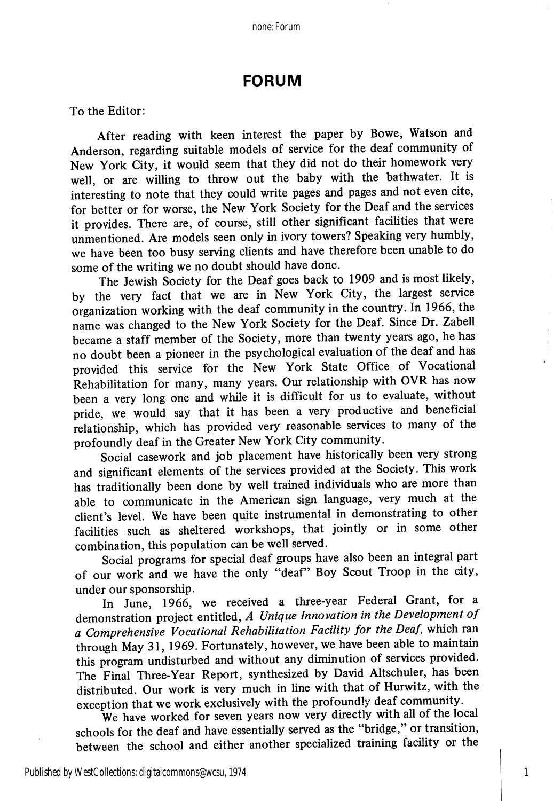### FORUM

To the Editor;

After reading with keen interest the paper by Bowe, Watson and Anderson, regarding suitable models of service for the deaf community of New York City, it would seem that they did not do their homework very well, or are willing to throw out the baby with the bathwater. It is interesting to note that they could write pages and pages and not even cite, for better or for worse, the New York Society for the Deaf and the services it provides. There are, of course, still other significant facilities that were unmentioned. Are models seen only in ivory towers? Speaking very humbly, we have been too busy serving clients and have therefore been unable to do some of the writing we no doubt should have done.

The Jewish Society for the Deaf goes back to 1909 and is most likely, by the very fact that we are in New York City, the largest service organization working with the deaf community in the country. In 1966, the name was changed to the New York Society for the Deaf. Since Dr. Zabell became a staff member of the Society, more than twenty years ago, he has no doubt been a pioneer in the psychological evaluation of the deaf and has provided this service for the New York State Office of Vocational Rehabilitation for many, many years. Our relationship with OVR has now been a very long one and while it is difficult for us to evaluate, without pride, we would say that it has been a very productive and beneficial relationship, which has provided very reasonable services to many of the profoundly deaf in the Greater New York City community.

Social casework and job placement have historically been very strong and significant elements of the services provided at the Society. This work has traditionally been done by well trained individuals who are more than able to communicate in the American sign language, very much at the client's level. We have been quite instrumental in demonstrating to other facilities such as sheltered workshops, that jointly or in some other combination, this population can be well served.

Social programs for special deaf groups have also been an integral part of our work and we have the only "deaf" Boy Scout Troop in the city, under our sponsorship.

In June, 1966, we received a three-year Federal Grant, for a demonstration project entitled, A Unique Innovation in the Development of a Comprehensive Vocational Rehabilitation Facility for the Deaf, which ran through May 31, 1969. Fortunately, however, we have been able to maintain this program undisturbed and without any diminution of services provided. The Final Three-Year Report, synthesized by David Altschuler, has been distributed. Our work is very much in line with that of Hurwitz, with the exception that we work exclusively with the profoundly deaf community.

We have worked for seven years now very directly with all of the local schools for the deaf and have essentially served as the "bridge," or transition, between the school and either another specialized training facility or the

1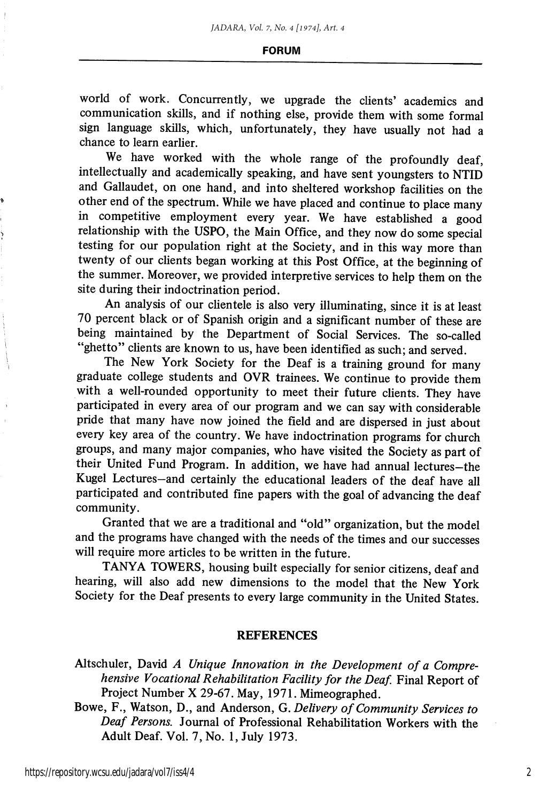#### FORUM

world of work. Concurrently, we upgrade the clients' academics and communication skills, and if nothing else, provide them with some formal sign language skills, which, unfortunately, they have usually not had a chance to leam earlier.

We have worked with the whole range of the profoundly deaf, intellectually and academically speaking, and have sent youngsters to NTID and Gallaudet, on one hand, and into sheltered workshop facilities on the other end of the spectrum. While we have placed and continue to place many in competitive employment every year. We have established a good relationship with the USPO, the Main Office, and they now do some special testing for our population right at the Society, and in this way more than twenty of our clients began working at this Post Office, at the beginning of the summer. Moreover, we provided interpretive services to help them on the site during their indoctrination period.

An analysis of our clientele is also very illuminating, since it is at least 70 percent black or of Spanish origin and a significant number of these are being maintained by the Department of Social Services. The so-called "ghetto" clients are known to us, have been identified as such; and served.

The New York Society for the Deaf is a training ground for many graduate college students and OVR trainees. We continue to provide them with a well-rounded opportunity to meet their future clients. They have participated in every area of our program and we can say with considerable pride that many have now joined the field and are dispersed in just about every key area of the country. We have indoctrination programs for church groups, and many major companies, who have visited the Society as part of their United Fund Program. In addition, we have had annual lectures—the Kugel Lectures-and certainly the educational leaders of the deaf have all participated and contributed fine papers with the goal of advancing the deaf community.

Granted that we are a traditional and "old" organization, but the model and the programs have changed with the needs of the times and our successes will require more articles to be written in the future.

TANYA TOWERS, housing built especially for senior citizens, deaf and hearing, will also add new dimensions to the model that the New York Society for the Deaf presents to every large community in the United States.

#### REFERENCES

Altschuler, David A Unique Innovation in the Development of a Comprehensive Vocational Rehabilitation Facility for the Deaf. Final Report of Project Number X 29-67. May, 1971. Mimeographed.

Bowe, F., Watson, D., and Anderson, G. Delivery of Community Services to Deaf Persons. Journal of Professional Rehabilitation Workers with the Adult Deaf. Vol. 7, No. 1, July 1973.